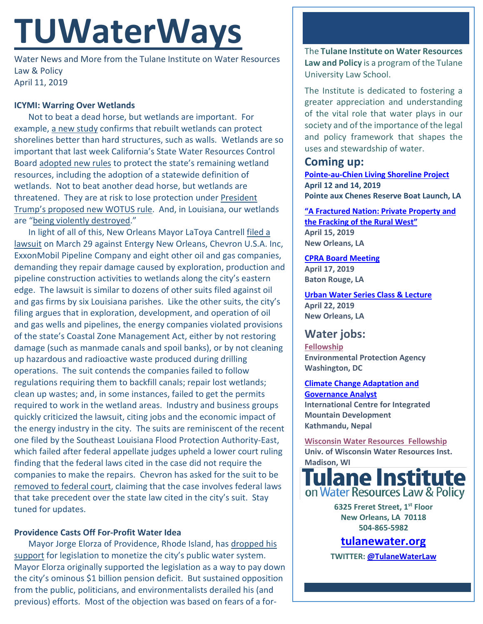# **TUWaterWays**

Water News and More from the Tulane Institute on Water Resources Law & Policy April 11, 2019

## **ICYMI: Warring Over Wetlands**

Not to beat a dead horse, but wetlands are important. For example, [a new study](https://www.scientificamerican.com/article/rebuilt-wetlands-can-protect-shorelines-better-than-walls/) confirms that rebuilt wetlands can protect shorelines better than hard structures, such as walls. Wetlands are so important that last week California's State Water Resources Control Board [adopted new rules](https://legal-planet.org/2019/04/04/california-adopts-new-welcome-wetlands-protection-rules/) to protect the state's remaining wetland resources, including the adoption of a statewide definition of wetlands. Not to beat another dead horse, but wetlands are threatened. They are at risk to lose protection unde[r President](https://www.economist.com/united-states/2018/12/13/the-white-house-rolls-back-a-rule-on-polluting-wetlands)  [Trump's proposed new WOTUS rule.](https://www.economist.com/united-states/2018/12/13/the-white-house-rolls-back-a-rule-on-polluting-wetlands) And, in Louisiana, our wetlands are ["being violently destroyed.](https://www.nola.com/opinions/2019/04/our-coast-isnt-disappearing-or-vanishing-its-being-violently-destroyed.html)"

In light of all of this, New Orleans Mayor LaToya Cantrell [filed a](https://www.nola.com/environment/2019/03/new-orleans-files-wetland-damage-suit-against-oil-gas-companies.html)  [lawsuit](https://www.nola.com/environment/2019/03/new-orleans-files-wetland-damage-suit-against-oil-gas-companies.html) on March 29 against Entergy New Orleans, Chevron U.S.A. Inc, ExxonMobil Pipeline Company and eight other oil and gas companies, demanding they repair damage caused by exploration, production and pipeline construction activities to wetlands along the city's eastern edge. The lawsuit is similar to dozens of other suits filed against oil and gas firms by six Louisiana parishes. Like the other suits, the city's filing argues that in exploration, development, and operation of oil and gas wells and pipelines, the energy companies violated provisions of the state's Coastal Zone Management Act, either by not restoring damage (such as manmade canals and spoil banks), or by not cleaning up hazardous and radioactive waste produced during drilling operations. The suit contends the companies failed to follow regulations requiring them to backfill canals; repair lost wetlands; clean up wastes; and, in some instances, failed to get the permits required to work in the wetland areas. Industry and business groups quickly criticized the lawsuit, citing jobs and the economic impact of the energy industry in the city. The suits are reminiscent of the recent one filed by the Southeast Louisiana Flood Protection Authority-East, which failed after federal appellate judges upheld a lower court ruling finding that the federal laws cited in the case did not require the companies to make the repairs. Chevron has asked for the suit to be [removed to federal court,](https://www.nola.com/environment/2019/04/chevron-asks-for-new-orleans-wetlands-damage-suit-to-be-heard-in-federal-court.html) claiming that the case involves federal laws that take precedent over the state law cited in the city's suit. Stay tuned for updates.

## **Providence Casts Off For-Profit Water Idea**

Mayor Jorge Elorza of Providence, Rhode Island, ha[s dropped his](https://www.ecori.org/public-safety/2019/4/5/mayor-withdraws-plans-to-privatize-water-system)  [support](https://www.ecori.org/public-safety/2019/4/5/mayor-withdraws-plans-to-privatize-water-system) for legislation to monetize the city's public water system. Mayor Elorza originally supported the legislation as a way to pay down the city's ominous \$1 billion pension deficit. But sustained opposition from the public, politicians, and environmentalists derailed his (and previous) efforts. Most of the objection was based on fears of a forThe **Tulane Institute on Water Resources Law and Policy** is a program of the Tulane University Law School.

The Institute is dedicated to fostering a greater appreciation and understanding of the vital role that water plays in our society and of the importance of the legal and policy framework that shapes the uses and stewardship of water.

# **Coming up:**

**[Pointe-au-Chien Living Shoreline Project](https://www.eventbrite.com/o/coalition-to-restore-coastal-louisiana-17172605631) April 12 and 14, 2019 Pointe aux Chenes Reserve Boat Launch, LA** 

**"A [Fractured Nation: Private Property and](file://129.81.194.253/WaterLaw/Kristen%20Hilferty/TUWaterWays/becher%20colloquium.pdf)  [the Fracking of the Rural West"](file://129.81.194.253/WaterLaw/Kristen%20Hilferty/TUWaterWays/becher%20colloquium.pdf) April 15, 2019 New Orleans, LA**

**[CPRA Board Meeting](http://coastal.la.gov/calendar/) April 17, 2019 Baton Rouge, LA**

**[Urban Water Series Class & Lecture](https://mailchi.mp/84a839004c18/register-now-for-urban-water-series-plants-water-strategies-for-improving-water-quality-april-22) April 22, 2019 New Orleans, LA**

## **Water jobs:**

**[Fellowship](https://www.zintellect.com/Opportunity/Details/EPA-Water-2019-0007) Environmental Protection Agency Washington, DC**

**[Climate Change Adaptation and](http://www.icimod.org/?q=35050)  [Governance Analyst](http://www.icimod.org/?q=35050) International Centre for Integrated Mountain Development Kathmandu, Nepal**

**[Wisconsin Water Resources Fellowship](https://www.cuahsi.org/community/job-board/wisconsin-water-resources-science-policy-fellowship-with-a-focus-on-groundwater-surface-water-interactions)  Univ. of Wisconsin Water Resources Inst.**



**6325 Freret Street, 1st Floor New Orleans, LA 70118 504-865-5982** 

**tulanewater.org**

**TWITTER[: @TulaneWaterLaw](http://www.twitter.com/TulaneWaterLaw)**